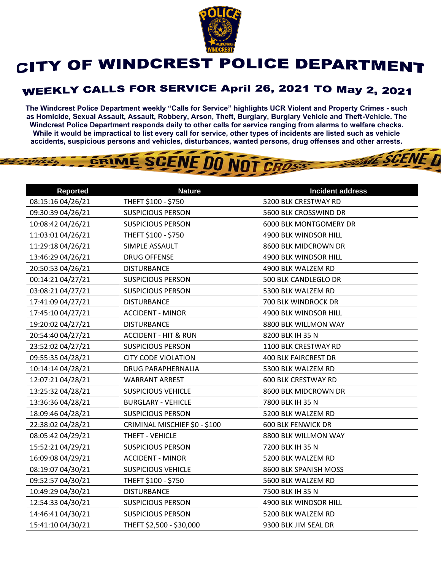

## CITY OF WINDCREST POLICE DEPARTMENT

## **WEEKLY CALLS FOR SERVICE April 26, 2021 TO May 2, 2021**

**The Windcrest Police Department weekly "Calls for Service" highlights UCR Violent and Property Crimes - such as Homicide, Sexual Assault, Assault, Robbery, Arson, Theft, Burglary, Burglary Vehicle and Theft-Vehicle. The Windcrest Police Department responds daily to other calls for service ranging from alarms to welfare checks. While it would be impractical to list every call for service, other types of incidents are listed such as vehicle accidents, suspicious persons and vehicles, disturbances, wanted persons, drug offenses and other arrests.** 

**THE SCENE D** 

## GRIME SCENE DO NOT CROSS

| <b>Reported</b>   | <b>Nature</b>                   | <b>Incident address</b>     |
|-------------------|---------------------------------|-----------------------------|
| 08:15:16 04/26/21 | THEFT \$100 - \$750             | 5200 BLK CRESTWAY RD        |
| 09:30:39 04/26/21 | <b>SUSPICIOUS PERSON</b>        | 5600 BLK CROSSWIND DR       |
| 10:08:42 04/26/21 | <b>SUSPICIOUS PERSON</b>        | 6000 BLK MONTGOMERY DR      |
| 11:03:01 04/26/21 | THEFT \$100 - \$750             | 4900 BLK WINDSOR HILL       |
| 11:29:18 04/26/21 | SIMPLE ASSAULT                  | 8600 BLK MIDCROWN DR        |
| 13:46:29 04/26/21 | <b>DRUG OFFENSE</b>             | 4900 BLK WINDSOR HILL       |
| 20:50:53 04/26/21 | <b>DISTURBANCE</b>              | 4900 BLK WALZEM RD          |
| 00:14:21 04/27/21 | <b>SUSPICIOUS PERSON</b>        | 500 BLK CANDLEGLO DR        |
| 03:08:21 04/27/21 | <b>SUSPICIOUS PERSON</b>        | 5300 BLK WALZEM RD          |
| 17:41:09 04/27/21 | <b>DISTURBANCE</b>              | 700 BLK WINDROCK DR         |
| 17:45:10 04/27/21 | <b>ACCIDENT - MINOR</b>         | 4900 BLK WINDSOR HILL       |
| 19:20:02 04/27/21 | <b>DISTURBANCE</b>              | 8800 BLK WILLMON WAY        |
| 20:54:40 04/27/21 | <b>ACCIDENT - HIT &amp; RUN</b> | 8200 BLK IH 35 N            |
| 23:52:02 04/27/21 | <b>SUSPICIOUS PERSON</b>        | 1100 BLK CRESTWAY RD        |
| 09:55:35 04/28/21 | <b>CITY CODE VIOLATION</b>      | <b>400 BLK FAIRCREST DR</b> |
| 10:14:14 04/28/21 | <b>DRUG PARAPHERNALIA</b>       | 5300 BLK WALZEM RD          |
| 12:07:21 04/28/21 | <b>WARRANT ARREST</b>           | <b>600 BLK CRESTWAY RD</b>  |
| 13:25:32 04/28/21 | <b>SUSPICIOUS VEHICLE</b>       | 8600 BLK MIDCROWN DR        |
| 13:36:36 04/28/21 | <b>BURGLARY - VEHICLE</b>       | 7800 BLK IH 35 N            |
| 18:09:46 04/28/21 | <b>SUSPICIOUS PERSON</b>        | 5200 BLK WALZEM RD          |
| 22:38:02 04/28/21 | CRIMINAL MISCHIEF \$0 - \$100   | <b>600 BLK FENWICK DR</b>   |
| 08:05:42 04/29/21 | THEFT - VEHICLE                 | 8800 BLK WILLMON WAY        |
| 15:52:21 04/29/21 | <b>SUSPICIOUS PERSON</b>        | 7200 BLK IH 35 N            |
| 16:09:08 04/29/21 | <b>ACCIDENT - MINOR</b>         | 5200 BLK WALZEM RD          |
| 08:19:07 04/30/21 | <b>SUSPICIOUS VEHICLE</b>       | 8600 BLK SPANISH MOSS       |
| 09:52:57 04/30/21 | THEFT \$100 - \$750             | 5600 BLK WALZEM RD          |
| 10:49:29 04/30/21 | <b>DISTURBANCE</b>              | 7500 BLK IH 35 N            |
| 12:54:33 04/30/21 | <b>SUSPICIOUS PERSON</b>        | 4900 BLK WINDSOR HILL       |
| 14:46:41 04/30/21 | <b>SUSPICIOUS PERSON</b>        | 5200 BLK WALZEM RD          |
| 15:41:10 04/30/21 | THEFT \$2,500 - \$30,000        | 9300 BLK JIM SEAL DR        |